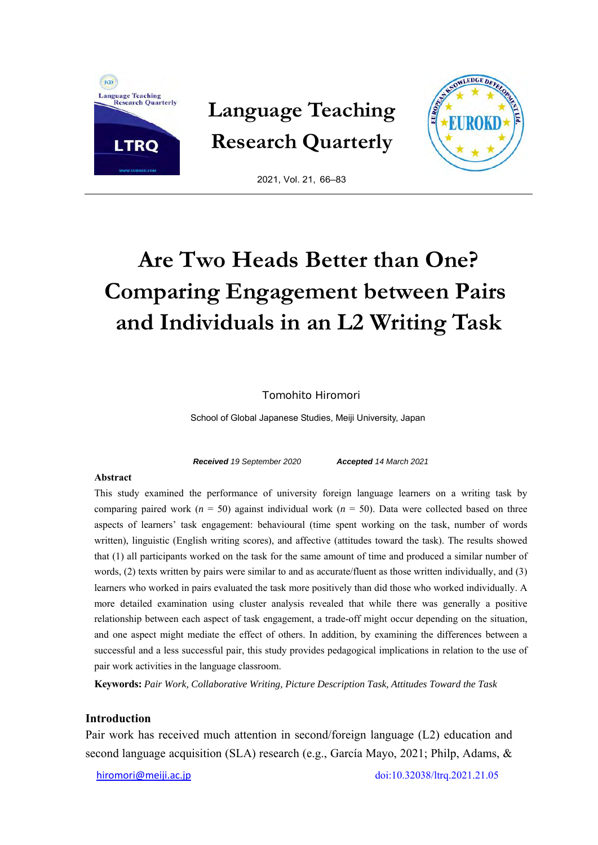

**Language Teaching Research Quarterly** 



2021, Vol. 21, 66–83

# **Are Two Heads Better than One? Comparing Engagement between Pairs and Individuals in an L2 Writing Task**

Tomohito Hiromori

School of Global Japanese Studies, Meiji University, Japan

*Received 19 September 2020 Accepted 14 March 2021* 

#### **Abstract**

This study examined the performance of university foreign language learners on a writing task by comparing paired work ( $n = 50$ ) against individual work ( $n = 50$ ). Data were collected based on three aspects of learners' task engagement: behavioural (time spent working on the task, number of words written), linguistic (English writing scores), and affective (attitudes toward the task). The results showed that (1) all participants worked on the task for the same amount of time and produced a similar number of words, (2) texts written by pairs were similar to and as accurate/fluent as those written individually, and (3) learners who worked in pairs evaluated the task more positively than did those who worked individually. A more detailed examination using cluster analysis revealed that while there was generally a positive relationship between each aspect of task engagement, a trade-off might occur depending on the situation, and one aspect might mediate the effect of others. In addition, by examining the differences between a successful and a less successful pair, this study provides pedagogical implications in relation to the use of pair work activities in the language classroom.

**Keywords:** *Pair Work, Collaborative Writing, Picture Description Task, Attitudes Toward the Task*

## **Introduction**

Pair work has received much attention in second/foreign language (L2) education and second language acquisition (SLA) research (e.g., García Mayo, 2021; Philp, Adams, &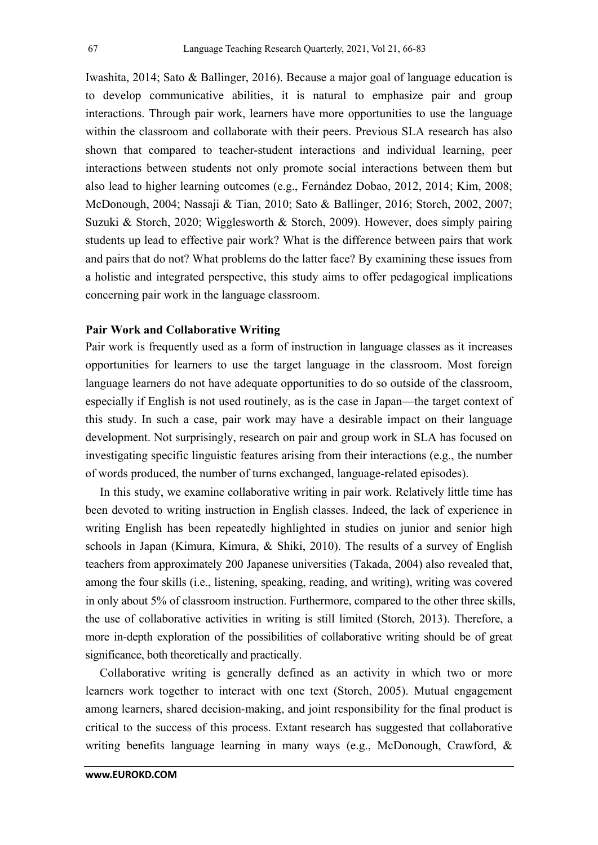Iwashita, 2014; Sato & Ballinger, 2016). Because a major goal of language education is to develop communicative abilities, it is natural to emphasize pair and group interactions. Through pair work, learners have more opportunities to use the language within the classroom and collaborate with their peers. Previous SLA research has also shown that compared to teacher-student interactions and individual learning, peer interactions between students not only promote social interactions between them but also lead to higher learning outcomes (e.g., Fernández Dobao, 2012, 2014; Kim, 2008; McDonough, 2004; Nassaji & Tian, 2010; Sato & Ballinger, 2016; Storch, 2002, 2007; Suzuki & Storch, 2020; Wigglesworth & Storch, 2009). However, does simply pairing students up lead to effective pair work? What is the difference between pairs that work and pairs that do not? What problems do the latter face? By examining these issues from a holistic and integrated perspective, this study aims to offer pedagogical implications concerning pair work in the language classroom.

# **Pair Work and Collaborative Writing**

Pair work is frequently used as a form of instruction in language classes as it increases opportunities for learners to use the target language in the classroom. Most foreign language learners do not have adequate opportunities to do so outside of the classroom, especially if English is not used routinely, as is the case in Japan—the target context of this study. In such a case, pair work may have a desirable impact on their language development. Not surprisingly, research on pair and group work in SLA has focused on investigating specific linguistic features arising from their interactions (e.g., the number of words produced, the number of turns exchanged, language-related episodes).

In this study, we examine collaborative writing in pair work. Relatively little time has been devoted to writing instruction in English classes. Indeed, the lack of experience in writing English has been repeatedly highlighted in studies on junior and senior high schools in Japan (Kimura, Kimura, & Shiki, 2010). The results of a survey of English teachers from approximately 200 Japanese universities (Takada, 2004) also revealed that, among the four skills (i.e., listening, speaking, reading, and writing), writing was covered in only about 5% of classroom instruction. Furthermore, compared to the other three skills, the use of collaborative activities in writing is still limited (Storch, 2013). Therefore, a more in-depth exploration of the possibilities of collaborative writing should be of great significance, both theoretically and practically.

Collaborative writing is generally defined as an activity in which two or more learners work together to interact with one text (Storch, 2005). Mutual engagement among learners, shared decision-making, and joint responsibility for the final product is critical to the success of this process. Extant research has suggested that collaborative writing benefits language learning in many ways (e.g., McDonough, Crawford, &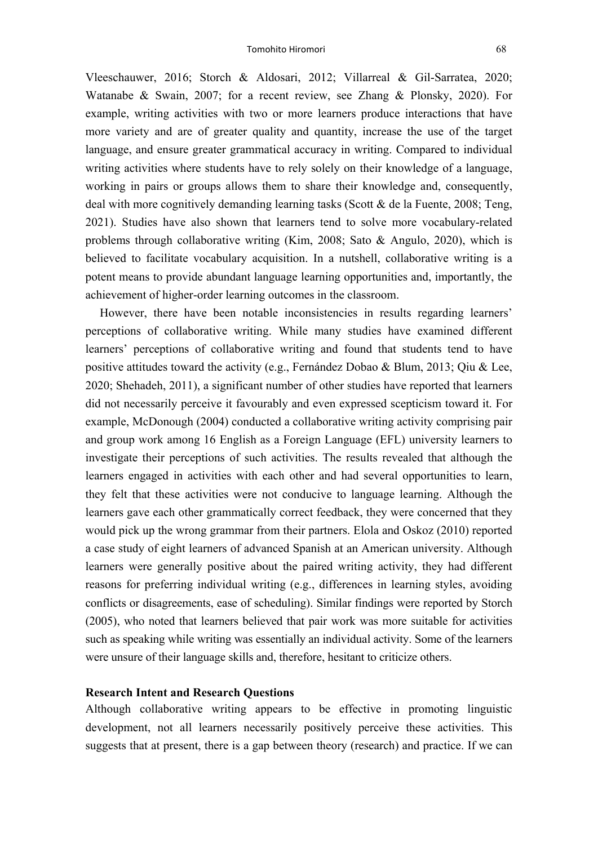Vleeschauwer, 2016; Storch & Aldosari, 2012; Villarreal & Gil-Sarratea, 2020; Watanabe & Swain, 2007; for a recent review, see Zhang & Plonsky, 2020). For example, writing activities with two or more learners produce interactions that have more variety and are of greater quality and quantity, increase the use of the target language, and ensure greater grammatical accuracy in writing. Compared to individual writing activities where students have to rely solely on their knowledge of a language, working in pairs or groups allows them to share their knowledge and, consequently, deal with more cognitively demanding learning tasks (Scott & de la Fuente, 2008; Teng, 2021). Studies have also shown that learners tend to solve more vocabulary-related problems through collaborative writing (Kim, 2008; Sato & Angulo, 2020), which is believed to facilitate vocabulary acquisition. In a nutshell, collaborative writing is a potent means to provide abundant language learning opportunities and, importantly, the achievement of higher-order learning outcomes in the classroom.

However, there have been notable inconsistencies in results regarding learners' perceptions of collaborative writing. While many studies have examined different learners' perceptions of collaborative writing and found that students tend to have positive attitudes toward the activity (e.g., Fernández Dobao & Blum, 2013; Qiu & Lee, 2020; Shehadeh, 2011), a significant number of other studies have reported that learners did not necessarily perceive it favourably and even expressed scepticism toward it. For example, McDonough (2004) conducted a collaborative writing activity comprising pair and group work among 16 English as a Foreign Language (EFL) university learners to investigate their perceptions of such activities. The results revealed that although the learners engaged in activities with each other and had several opportunities to learn, they felt that these activities were not conducive to language learning. Although the learners gave each other grammatically correct feedback, they were concerned that they would pick up the wrong grammar from their partners. Elola and Oskoz (2010) reported a case study of eight learners of advanced Spanish at an American university. Although learners were generally positive about the paired writing activity, they had different reasons for preferring individual writing (e.g., differences in learning styles, avoiding conflicts or disagreements, ease of scheduling). Similar findings were reported by Storch (2005), who noted that learners believed that pair work was more suitable for activities such as speaking while writing was essentially an individual activity. Some of the learners were unsure of their language skills and, therefore, hesitant to criticize others.

## **Research Intent and Research Questions**

Although collaborative writing appears to be effective in promoting linguistic development, not all learners necessarily positively perceive these activities. This suggests that at present, there is a gap between theory (research) and practice. If we can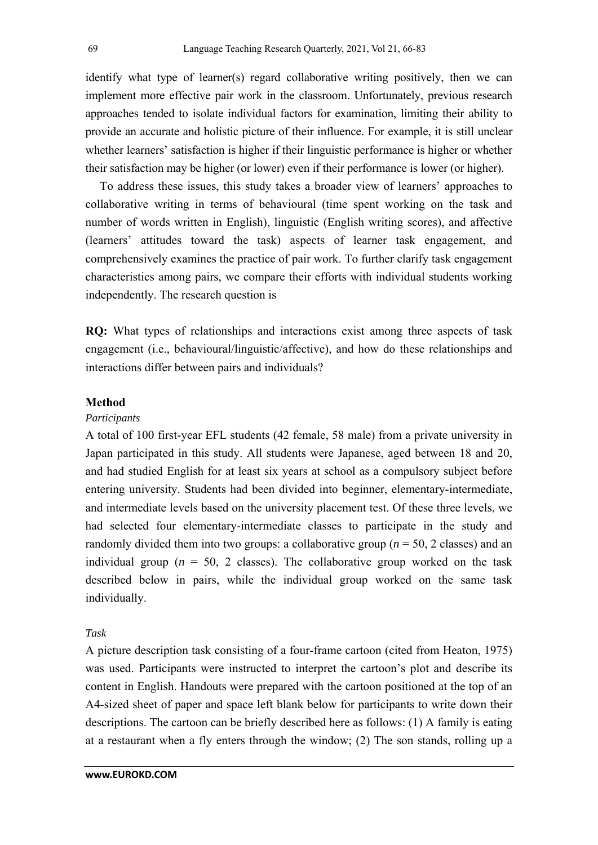identify what type of learner(s) regard collaborative writing positively, then we can implement more effective pair work in the classroom. Unfortunately, previous research approaches tended to isolate individual factors for examination, limiting their ability to provide an accurate and holistic picture of their influence. For example, it is still unclear whether learners' satisfaction is higher if their linguistic performance is higher or whether their satisfaction may be higher (or lower) even if their performance is lower (or higher).

To address these issues, this study takes a broader view of learners' approaches to collaborative writing in terms of behavioural (time spent working on the task and number of words written in English), linguistic (English writing scores), and affective (learners' attitudes toward the task) aspects of learner task engagement, and comprehensively examines the practice of pair work. To further clarify task engagement characteristics among pairs, we compare their efforts with individual students working independently. The research question is

**RQ:** What types of relationships and interactions exist among three aspects of task engagement (i.e., behavioural/linguistic/affective), and how do these relationships and interactions differ between pairs and individuals?

### **Method**

#### *Participants*

A total of 100 first-year EFL students (42 female, 58 male) from a private university in Japan participated in this study. All students were Japanese, aged between 18 and 20, and had studied English for at least six years at school as a compulsory subject before entering university. Students had been divided into beginner, elementary-intermediate, and intermediate levels based on the university placement test. Of these three levels, we had selected four elementary-intermediate classes to participate in the study and randomly divided them into two groups: a collaborative group ( $n = 50$ , 2 classes) and an individual group ( $n = 50$ , 2 classes). The collaborative group worked on the task described below in pairs, while the individual group worked on the same task individually.

# *Task*

A picture description task consisting of a four-frame cartoon (cited from Heaton, 1975) was used. Participants were instructed to interpret the cartoon's plot and describe its content in English. Handouts were prepared with the cartoon positioned at the top of an A4-sized sheet of paper and space left blank below for participants to write down their descriptions. The cartoon can be briefly described here as follows: (1) A family is eating at a restaurant when a fly enters through the window; (2) The son stands, rolling up a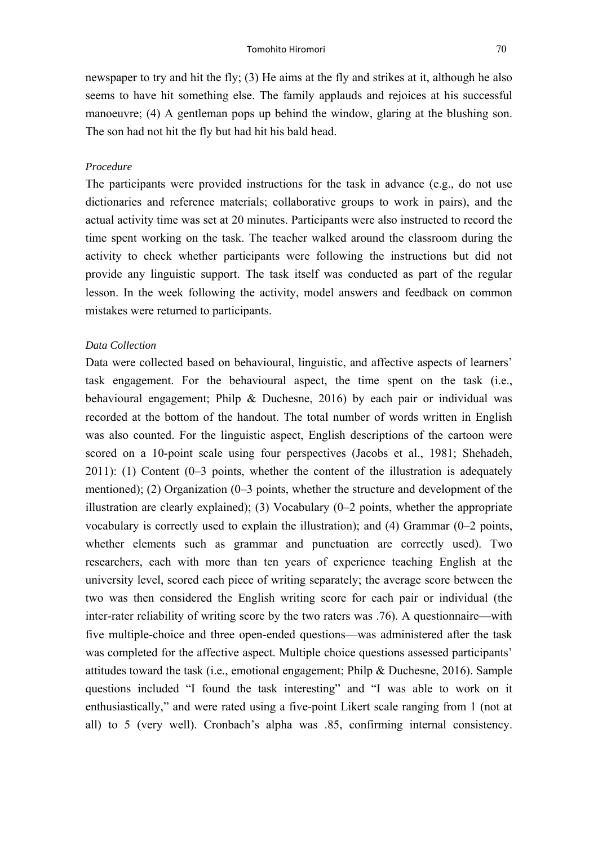newspaper to try and hit the fly; (3) He aims at the fly and strikes at it, although he also seems to have hit something else. The family applauds and rejoices at his successful manoeuvre; (4) A gentleman pops up behind the window, glaring at the blushing son. The son had not hit the fly but had hit his bald head.

#### *Procedure*

The participants were provided instructions for the task in advance (e.g., do not use dictionaries and reference materials; collaborative groups to work in pairs), and the actual activity time was set at 20 minutes. Participants were also instructed to record the time spent working on the task. The teacher walked around the classroom during the activity to check whether participants were following the instructions but did not provide any linguistic support. The task itself was conducted as part of the regular lesson. In the week following the activity, model answers and feedback on common mistakes were returned to participants.

#### *Data Collection*

Data were collected based on behavioural, linguistic, and affective aspects of learners' task engagement. For the behavioural aspect, the time spent on the task (i.e., behavioural engagement; Philp & Duchesne, 2016) by each pair or individual was recorded at the bottom of the handout. The total number of words written in English was also counted. For the linguistic aspect, English descriptions of the cartoon were scored on a 10-point scale using four perspectives (Jacobs et al., 1981; Shehadeh, 2011): (1) Content (0–3 points, whether the content of the illustration is adequately mentioned); (2) Organization (0–3 points, whether the structure and development of the illustration are clearly explained); (3) Vocabulary (0–2 points, whether the appropriate vocabulary is correctly used to explain the illustration); and (4) Grammar (0–2 points, whether elements such as grammar and punctuation are correctly used). Two researchers, each with more than ten years of experience teaching English at the university level, scored each piece of writing separately; the average score between the two was then considered the English writing score for each pair or individual (the inter-rater reliability of writing score by the two raters was .76). A questionnaire—with five multiple-choice and three open-ended questions—was administered after the task was completed for the affective aspect. Multiple choice questions assessed participants' attitudes toward the task (i.e., emotional engagement; Philp & Duchesne, 2016). Sample questions included "I found the task interesting" and "I was able to work on it enthusiastically," and were rated using a five-point Likert scale ranging from 1 (not at all) to 5 (very well). Cronbach's alpha was .85, confirming internal consistency.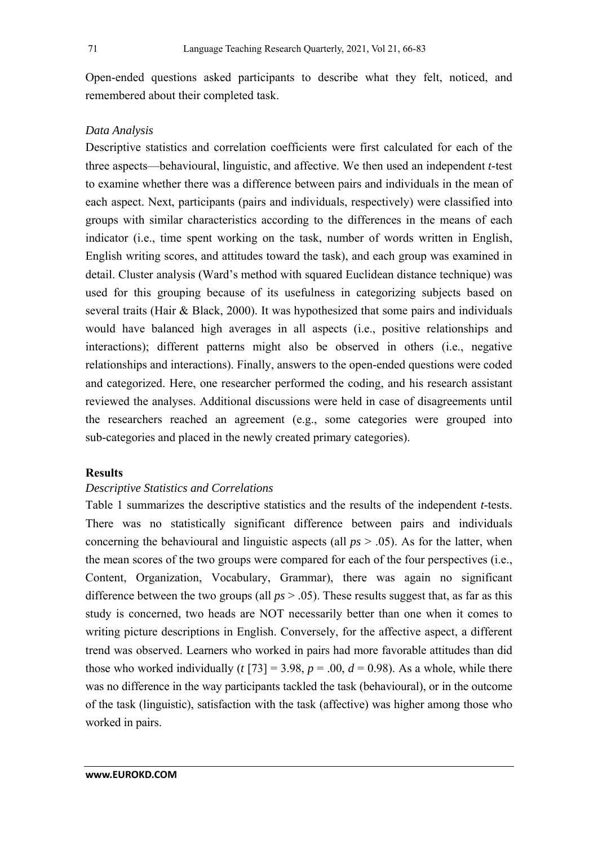Open-ended questions asked participants to describe what they felt, noticed, and remembered about their completed task.

# *Data Analysis*

Descriptive statistics and correlation coefficients were first calculated for each of the three aspects—behavioural, linguistic, and affective. We then used an independent *t*-test to examine whether there was a difference between pairs and individuals in the mean of each aspect. Next, participants (pairs and individuals, respectively) were classified into groups with similar characteristics according to the differences in the means of each indicator (i.e., time spent working on the task, number of words written in English, English writing scores, and attitudes toward the task), and each group was examined in detail. Cluster analysis (Ward's method with squared Euclidean distance technique) was used for this grouping because of its usefulness in categorizing subjects based on several traits (Hair & Black, 2000). It was hypothesized that some pairs and individuals would have balanced high averages in all aspects (i.e., positive relationships and interactions); different patterns might also be observed in others (i.e., negative relationships and interactions). Finally, answers to the open-ended questions were coded and categorized. Here, one researcher performed the coding, and his research assistant reviewed the analyses. Additional discussions were held in case of disagreements until the researchers reached an agreement (e.g., some categories were grouped into sub-categories and placed in the newly created primary categories).

# **Results**

# *Descriptive Statistics and Correlations*

Table 1 summarizes the descriptive statistics and the results of the independent *t*-tests. There was no statistically significant difference between pairs and individuals concerning the behavioural and linguistic aspects (all *ps* > .05). As for the latter, when the mean scores of the two groups were compared for each of the four perspectives (i.e., Content, Organization, Vocabulary, Grammar), there was again no significant difference between the two groups (all *ps* > .05). These results suggest that, as far as this study is concerned, two heads are NOT necessarily better than one when it comes to writing picture descriptions in English. Conversely, for the affective aspect, a different trend was observed. Learners who worked in pairs had more favorable attitudes than did those who worked individually ( $t$  [73] = 3.98,  $p = .00$ ,  $d = 0.98$ ). As a whole, while there was no difference in the way participants tackled the task (behavioural), or in the outcome of the task (linguistic), satisfaction with the task (affective) was higher among those who worked in pairs.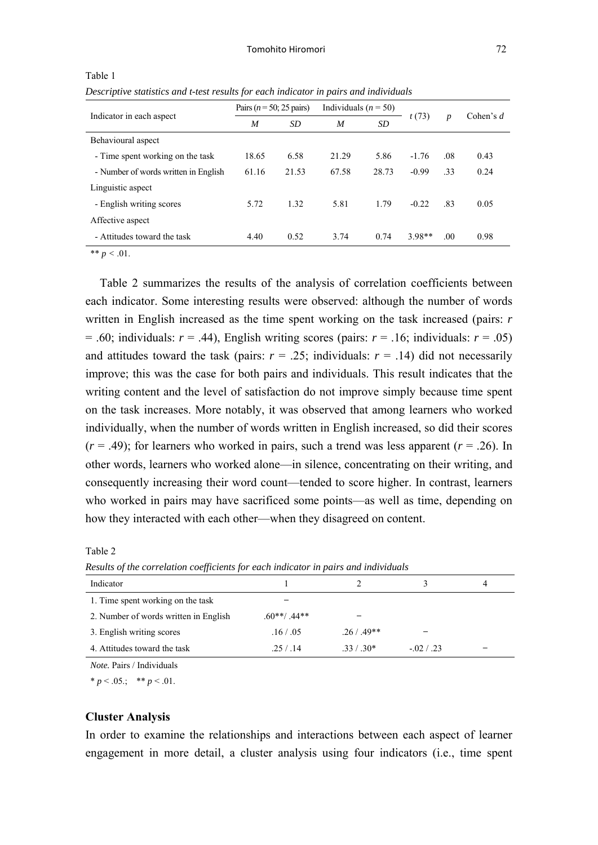|                                      | Pairs ( $n = 50$ ; 25 pairs) |                               | Individuals ( $n = 50$ ) |             |          | $\boldsymbol{p}$ |      |
|--------------------------------------|------------------------------|-------------------------------|--------------------------|-------------|----------|------------------|------|
| Indicator in each aspect             | M                            | t(73)<br><b>SD</b><br>M<br>SD |                          | Cohen's $d$ |          |                  |      |
| Behavioural aspect                   |                              |                               |                          |             |          |                  |      |
| - Time spent working on the task     | 18.65                        | 6.58                          | 21.29                    | 5.86        | $-1.76$  | .08              | 0.43 |
| - Number of words written in English | 61.16                        | 21.53                         | 67.58                    | 28.73       | $-0.99$  | .33              | 0.24 |
| Linguistic aspect                    |                              |                               |                          |             |          |                  |      |
| - English writing scores             | 5.72                         | 1.32                          | 5.81                     | 1.79        | $-0.22$  | .83              | 0.05 |
| Affective aspect                     |                              |                               |                          |             |          |                  |      |
| - Attitudes toward the task          | 4.40                         | 0.52                          | 3.74                     | 0.74        | $3.98**$ | .00.             | 0.98 |

Table 1

*Descriptive statistics and t-test results for each indicator in pairs and individuals* 

\*\*  $p < .01$ .

Table 2 summarizes the results of the analysis of correlation coefficients between each indicator. Some interesting results were observed: although the number of words written in English increased as the time spent working on the task increased (pairs: *r*  $= .60$ ; individuals:  $r = .44$ ), English writing scores (pairs:  $r = .16$ ; individuals:  $r = .05$ ) and attitudes toward the task (pairs:  $r = .25$ ; individuals:  $r = .14$ ) did not necessarily improve; this was the case for both pairs and individuals. This result indicates that the writing content and the level of satisfaction do not improve simply because time spent on the task increases. More notably, it was observed that among learners who worked individually, when the number of words written in English increased, so did their scores  $(r = .49)$ ; for learners who worked in pairs, such a trend was less apparent  $(r = .26)$ . In other words, learners who worked alone—in silence, concentrating on their writing, and consequently increasing their word count—tended to score higher. In contrast, learners who worked in pairs may have sacrificed some points—as well as time, depending on how they interacted with each other—when they disagreed on content.

Table 2

Indicator 1 2 3 4 1. Time spent working on the task — 2. Number of words written in English  $.60**/0.44**$ 3. English writing scores .16 / .05 .26 / .49\*\*

4. Attitudes toward the task .25 / .14 .33 / .30\* -.02 / .23

*Results of the correlation coefficients for each indicator in pairs and individuals* 

*Note.* Pairs / Individuals

\*  $p < .05$ .; \*\*  $p < .01$ .

#### **Cluster Analysis**

In order to examine the relationships and interactions between each aspect of learner engagement in more detail, a cluster analysis using four indicators (i.e., time spent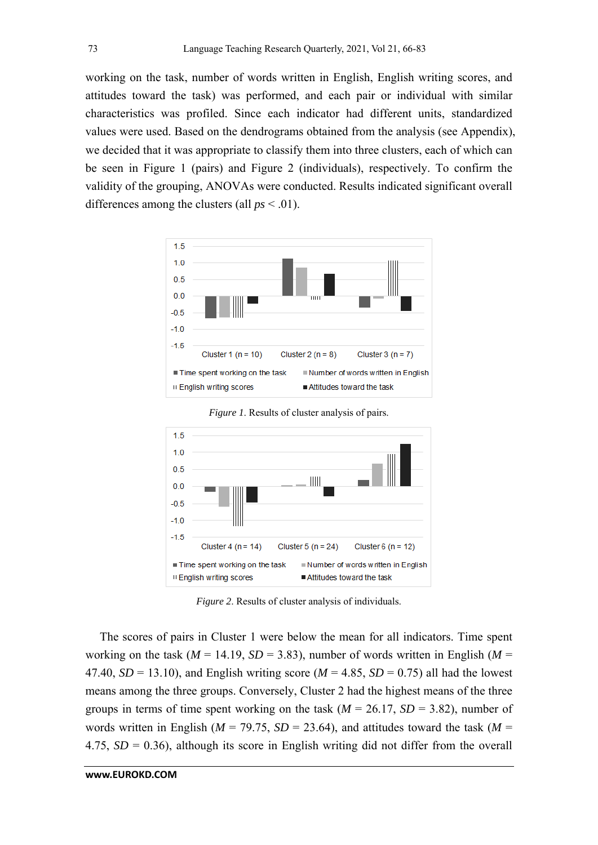working on the task, number of words written in English, English writing scores, and attitudes toward the task) was performed, and each pair or individual with similar characteristics was profiled. Since each indicator had different units, standardized values were used. Based on the dendrograms obtained from the analysis (see Appendix), we decided that it was appropriate to classify them into three clusters, each of which can be seen in Figure 1 (pairs) and Figure 2 (individuals), respectively. To confirm the validity of the grouping, ANOVAs were conducted. Results indicated significant overall differences among the clusters (all  $ps < .01$ ).





*Figure 1*. Results of cluster analysis of pairs.

*Figure 2*. Results of cluster analysis of individuals.

The scores of pairs in Cluster 1 were below the mean for all indicators. Time spent working on the task ( $M = 14.19$ ,  $SD = 3.83$ ), number of words written in English ( $M =$ 47.40,  $SD = 13.10$ ), and English writing score ( $M = 4.85$ ,  $SD = 0.75$ ) all had the lowest means among the three groups. Conversely, Cluster 2 had the highest means of the three groups in terms of time spent working on the task  $(M = 26.17, SD = 3.82)$ , number of words written in English ( $M = 79.75$ ,  $SD = 23.64$ ), and attitudes toward the task ( $M =$ 4.75, *SD* = 0.36), although its score in English writing did not differ from the overall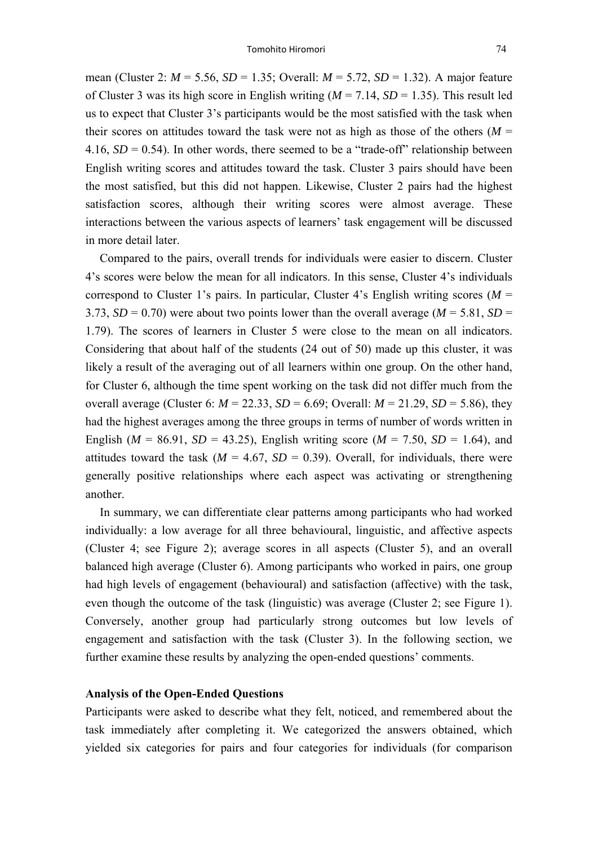mean (Cluster 2: *M* = 5.56, *SD* = 1.35; Overall: *M* = 5.72, *SD* = 1.32). A major feature of Cluster 3 was its high score in English writing (*M* = 7.14, *SD* = 1.35). This result led us to expect that Cluster 3's participants would be the most satisfied with the task when their scores on attitudes toward the task were not as high as those of the others ( $M =$ 4.16,  $SD = 0.54$ ). In other words, there seemed to be a "trade-off" relationship between English writing scores and attitudes toward the task. Cluster 3 pairs should have been the most satisfied, but this did not happen. Likewise, Cluster 2 pairs had the highest satisfaction scores, although their writing scores were almost average. These interactions between the various aspects of learners' task engagement will be discussed in more detail later.

Compared to the pairs, overall trends for individuals were easier to discern. Cluster 4's scores were below the mean for all indicators. In this sense, Cluster 4's individuals correspond to Cluster 1's pairs. In particular, Cluster 4's English writing scores (*M* = 3.73,  $SD = 0.70$ ) were about two points lower than the overall average ( $M = 5.81$ ,  $SD =$ 1.79). The scores of learners in Cluster 5 were close to the mean on all indicators. Considering that about half of the students (24 out of 50) made up this cluster, it was likely a result of the averaging out of all learners within one group. On the other hand, for Cluster 6, although the time spent working on the task did not differ much from the overall average (Cluster 6:  $M = 22.33$ ,  $SD = 6.69$ ; Overall:  $M = 21.29$ ,  $SD = 5.86$ ), they had the highest averages among the three groups in terms of number of words written in English ( $M = 86.91$ ,  $SD = 43.25$ ), English writing score ( $M = 7.50$ ,  $SD = 1.64$ ), and attitudes toward the task  $(M = 4.67, SD = 0.39)$ . Overall, for individuals, there were generally positive relationships where each aspect was activating or strengthening another.

In summary, we can differentiate clear patterns among participants who had worked individually: a low average for all three behavioural, linguistic, and affective aspects (Cluster 4; see Figure 2); average scores in all aspects (Cluster 5), and an overall balanced high average (Cluster 6). Among participants who worked in pairs, one group had high levels of engagement (behavioural) and satisfaction (affective) with the task, even though the outcome of the task (linguistic) was average (Cluster 2; see Figure 1). Conversely, another group had particularly strong outcomes but low levels of engagement and satisfaction with the task (Cluster 3). In the following section, we further examine these results by analyzing the open-ended questions' comments.

## **Analysis of the Open-Ended Questions**

Participants were asked to describe what they felt, noticed, and remembered about the task immediately after completing it. We categorized the answers obtained, which yielded six categories for pairs and four categories for individuals (for comparison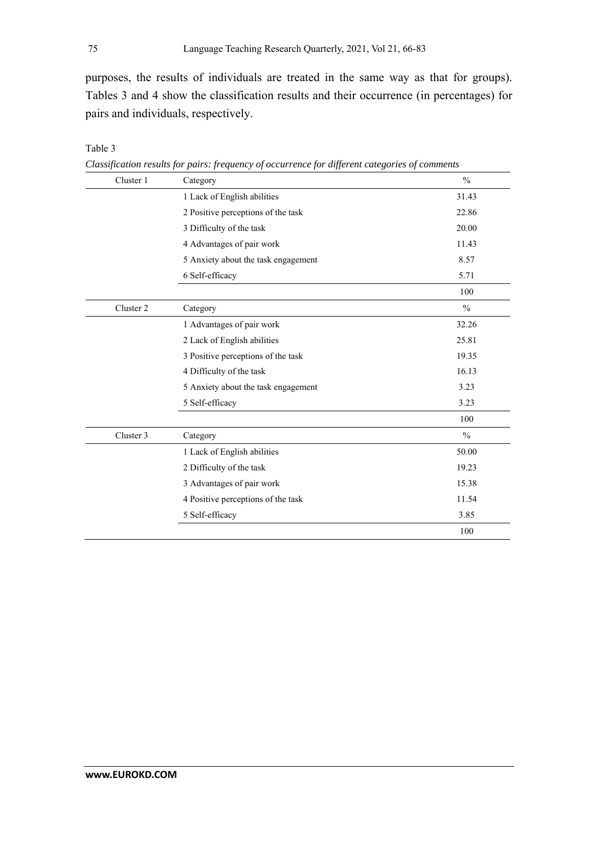purposes, the results of individuals are treated in the same way as that for groups). Tables 3 and 4 show the classification results and their occurrence (in percentages) for pairs and individuals, respectively.

| Cluster 1 | Category                            | $\frac{0}{0}$ |
|-----------|-------------------------------------|---------------|
|           | 1 Lack of English abilities         | 31.43         |
|           | 2 Positive perceptions of the task  | 22.86         |
|           | 3 Difficulty of the task            | 20.00         |
|           | 4 Advantages of pair work           | 11.43         |
|           | 5 Anxiety about the task engagement | 8.57          |
|           | 6 Self-efficacy                     | 5.71          |
|           |                                     | 100           |
| Cluster 2 | Category                            | $\frac{0}{0}$ |
|           | 1 Advantages of pair work           | 32.26         |
|           | 2 Lack of English abilities         | 25.81         |
|           | 3 Positive perceptions of the task  | 19.35         |
|           | 4 Difficulty of the task            | 16.13         |
|           | 5 Anxiety about the task engagement | 3.23          |
|           | 5 Self-efficacy                     | 3.23          |
|           |                                     | 100           |
| Cluster 3 | Category                            | $\frac{0}{0}$ |
|           | 1 Lack of English abilities         | 50.00         |
|           | 2 Difficulty of the task            | 19.23         |
|           | 3 Advantages of pair work           | 15.38         |
|           | 4 Positive perceptions of the task  | 11.54         |
|           | 5 Self-efficacy                     | 3.85          |
|           |                                     | 100           |

Table 3

*Classification results for pairs: frequency of occurrence for different categories of comments*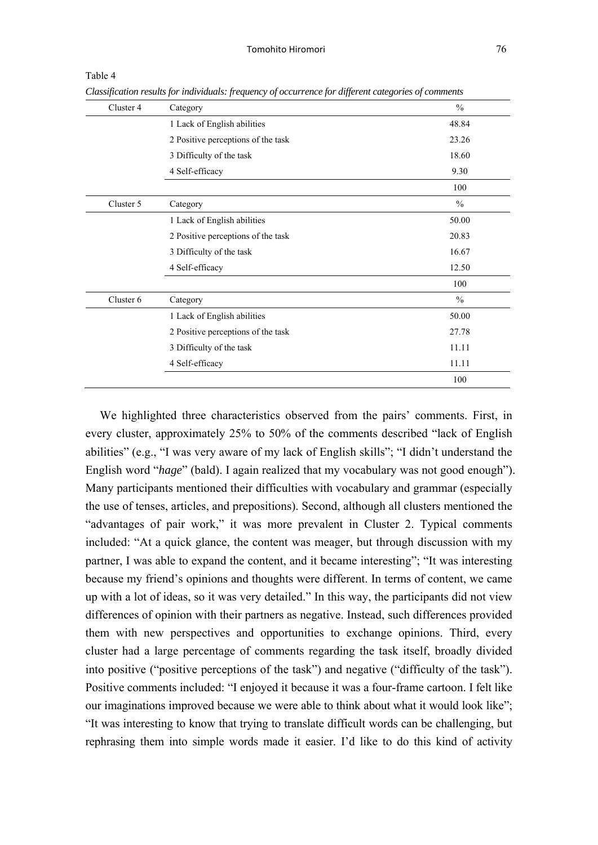| Cluster 4 | Category                           | $\frac{0}{0}$ |
|-----------|------------------------------------|---------------|
|           | 1 Lack of English abilities        | 48.84         |
|           | 2 Positive perceptions of the task | 23.26         |
|           | 3 Difficulty of the task           | 18.60         |
|           | 4 Self-efficacy                    | 9.30          |
|           |                                    | 100           |
| Cluster 5 | Category                           | $\%$          |
|           | 1 Lack of English abilities        | 50.00         |
|           | 2 Positive perceptions of the task | 20.83         |
|           | 3 Difficulty of the task           | 16.67         |
|           | 4 Self-efficacy                    | 12.50         |
|           |                                    | 100           |
| Cluster 6 | Category                           | $\frac{0}{0}$ |
|           | 1 Lack of English abilities        | 50.00         |
|           | 2 Positive perceptions of the task | 27.78         |
|           | 3 Difficulty of the task           | 11.11         |
|           | 4 Self-efficacy                    | 11.11         |
|           |                                    | 100           |

Table 4

*Classification results for individuals: frequency of occurrence for different categories of comments* 

We highlighted three characteristics observed from the pairs' comments. First, in every cluster, approximately 25% to 50% of the comments described "lack of English abilities" (e.g., "I was very aware of my lack of English skills"; "I didn't understand the English word "*hage*" (bald). I again realized that my vocabulary was not good enough"). Many participants mentioned their difficulties with vocabulary and grammar (especially the use of tenses, articles, and prepositions). Second, although all clusters mentioned the "advantages of pair work," it was more prevalent in Cluster 2. Typical comments included: "At a quick glance, the content was meager, but through discussion with my partner, I was able to expand the content, and it became interesting"; "It was interesting because my friend's opinions and thoughts were different. In terms of content, we came up with a lot of ideas, so it was very detailed." In this way, the participants did not view differences of opinion with their partners as negative. Instead, such differences provided them with new perspectives and opportunities to exchange opinions. Third, every cluster had a large percentage of comments regarding the task itself, broadly divided into positive ("positive perceptions of the task") and negative ("difficulty of the task"). Positive comments included: "I enjoyed it because it was a four-frame cartoon. I felt like our imaginations improved because we were able to think about what it would look like"; "It was interesting to know that trying to translate difficult words can be challenging, but rephrasing them into simple words made it easier. I'd like to do this kind of activity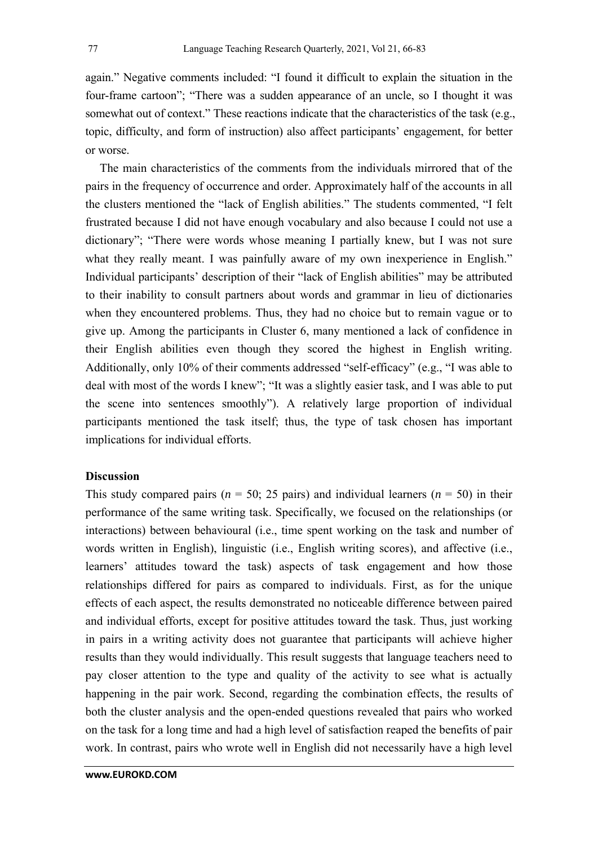again." Negative comments included: "I found it difficult to explain the situation in the four-frame cartoon"; "There was a sudden appearance of an uncle, so I thought it was somewhat out of context." These reactions indicate that the characteristics of the task (e.g., topic, difficulty, and form of instruction) also affect participants' engagement, for better or worse.

The main characteristics of the comments from the individuals mirrored that of the pairs in the frequency of occurrence and order. Approximately half of the accounts in all the clusters mentioned the "lack of English abilities." The students commented, "I felt frustrated because I did not have enough vocabulary and also because I could not use a dictionary"; "There were words whose meaning I partially knew, but I was not sure what they really meant. I was painfully aware of my own inexperience in English." Individual participants' description of their "lack of English abilities" may be attributed to their inability to consult partners about words and grammar in lieu of dictionaries when they encountered problems. Thus, they had no choice but to remain vague or to give up. Among the participants in Cluster 6, many mentioned a lack of confidence in their English abilities even though they scored the highest in English writing. Additionally, only 10% of their comments addressed "self-efficacy" (e.g., "I was able to deal with most of the words I knew"; "It was a slightly easier task, and I was able to put the scene into sentences smoothly"). A relatively large proportion of individual participants mentioned the task itself; thus, the type of task chosen has important implications for individual efforts.

## **Discussion**

This study compared pairs ( $n = 50$ ; 25 pairs) and individual learners ( $n = 50$ ) in their performance of the same writing task. Specifically, we focused on the relationships (or interactions) between behavioural (i.e., time spent working on the task and number of words written in English), linguistic (i.e., English writing scores), and affective (i.e., learners' attitudes toward the task) aspects of task engagement and how those relationships differed for pairs as compared to individuals. First, as for the unique effects of each aspect, the results demonstrated no noticeable difference between paired and individual efforts, except for positive attitudes toward the task. Thus, just working in pairs in a writing activity does not guarantee that participants will achieve higher results than they would individually. This result suggests that language teachers need to pay closer attention to the type and quality of the activity to see what is actually happening in the pair work. Second, regarding the combination effects, the results of both the cluster analysis and the open-ended questions revealed that pairs who worked on the task for a long time and had a high level of satisfaction reaped the benefits of pair work. In contrast, pairs who wrote well in English did not necessarily have a high level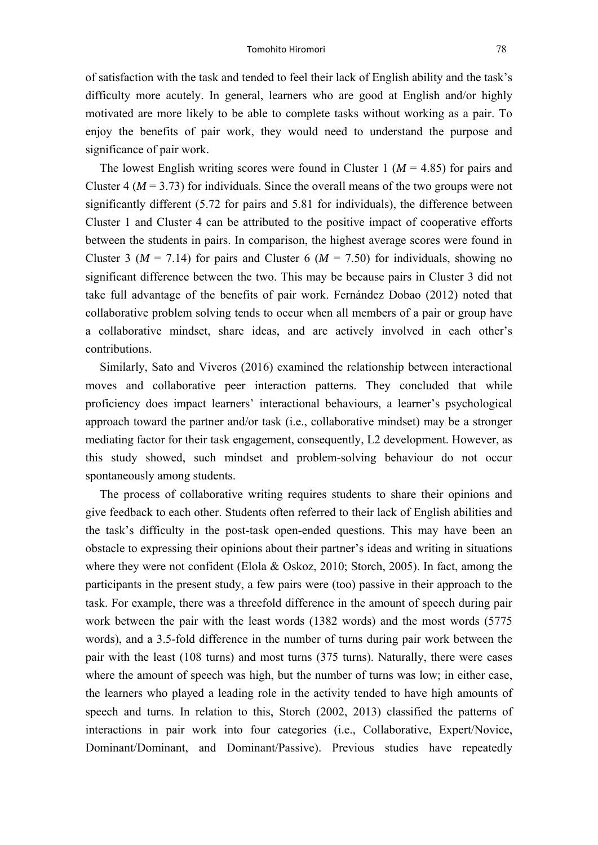of satisfaction with the task and tended to feel their lack of English ability and the task's difficulty more acutely. In general, learners who are good at English and/or highly motivated are more likely to be able to complete tasks without working as a pair. To enjoy the benefits of pair work, they would need to understand the purpose and significance of pair work.

The lowest English writing scores were found in Cluster 1 ( $M = 4.85$ ) for pairs and Cluster 4 ( $M = 3.73$ ) for individuals. Since the overall means of the two groups were not significantly different (5.72 for pairs and 5.81 for individuals), the difference between Cluster 1 and Cluster 4 can be attributed to the positive impact of cooperative efforts between the students in pairs. In comparison, the highest average scores were found in Cluster 3 ( $M = 7.14$ ) for pairs and Cluster 6 ( $M = 7.50$ ) for individuals, showing no significant difference between the two. This may be because pairs in Cluster 3 did not take full advantage of the benefits of pair work. Fernández Dobao (2012) noted that collaborative problem solving tends to occur when all members of a pair or group have a collaborative mindset, share ideas, and are actively involved in each other's contributions.

Similarly, Sato and Viveros (2016) examined the relationship between interactional moves and collaborative peer interaction patterns. They concluded that while proficiency does impact learners' interactional behaviours, a learner's psychological approach toward the partner and/or task (i.e., collaborative mindset) may be a stronger mediating factor for their task engagement, consequently, L2 development. However, as this study showed, such mindset and problem-solving behaviour do not occur spontaneously among students.

The process of collaborative writing requires students to share their opinions and give feedback to each other. Students often referred to their lack of English abilities and the task's difficulty in the post-task open-ended questions. This may have been an obstacle to expressing their opinions about their partner's ideas and writing in situations where they were not confident (Elola & Oskoz, 2010; Storch, 2005). In fact, among the participants in the present study, a few pairs were (too) passive in their approach to the task. For example, there was a threefold difference in the amount of speech during pair work between the pair with the least words (1382 words) and the most words (5775 words), and a 3.5-fold difference in the number of turns during pair work between the pair with the least (108 turns) and most turns (375 turns). Naturally, there were cases where the amount of speech was high, but the number of turns was low; in either case, the learners who played a leading role in the activity tended to have high amounts of speech and turns. In relation to this, Storch (2002, 2013) classified the patterns of interactions in pair work into four categories (i.e., Collaborative, Expert/Novice, Dominant/Dominant, and Dominant/Passive). Previous studies have repeatedly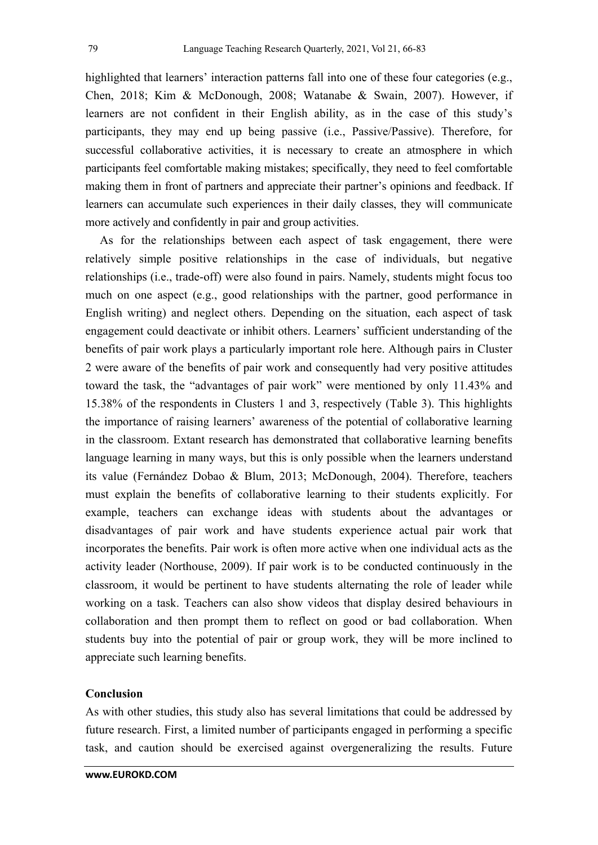highlighted that learners' interaction patterns fall into one of these four categories (e.g., Chen, 2018; Kim & McDonough, 2008; Watanabe & Swain, 2007). However, if learners are not confident in their English ability, as in the case of this study's participants, they may end up being passive (i.e., Passive/Passive). Therefore, for successful collaborative activities, it is necessary to create an atmosphere in which participants feel comfortable making mistakes; specifically, they need to feel comfortable making them in front of partners and appreciate their partner's opinions and feedback. If learners can accumulate such experiences in their daily classes, they will communicate more actively and confidently in pair and group activities.

As for the relationships between each aspect of task engagement, there were relatively simple positive relationships in the case of individuals, but negative relationships (i.e., trade-off) were also found in pairs. Namely, students might focus too much on one aspect (e.g., good relationships with the partner, good performance in English writing) and neglect others. Depending on the situation, each aspect of task engagement could deactivate or inhibit others. Learners' sufficient understanding of the benefits of pair work plays a particularly important role here. Although pairs in Cluster 2 were aware of the benefits of pair work and consequently had very positive attitudes toward the task, the "advantages of pair work" were mentioned by only 11.43% and 15.38% of the respondents in Clusters 1 and 3, respectively (Table 3). This highlights the importance of raising learners' awareness of the potential of collaborative learning in the classroom. Extant research has demonstrated that collaborative learning benefits language learning in many ways, but this is only possible when the learners understand its value (Fernández Dobao & Blum, 2013; McDonough, 2004). Therefore, teachers must explain the benefits of collaborative learning to their students explicitly. For example, teachers can exchange ideas with students about the advantages or disadvantages of pair work and have students experience actual pair work that incorporates the benefits. Pair work is often more active when one individual acts as the activity leader (Northouse, 2009). If pair work is to be conducted continuously in the classroom, it would be pertinent to have students alternating the role of leader while working on a task. Teachers can also show videos that display desired behaviours in collaboration and then prompt them to reflect on good or bad collaboration. When students buy into the potential of pair or group work, they will be more inclined to appreciate such learning benefits.

# **Conclusion**

As with other studies, this study also has several limitations that could be addressed by future research. First, a limited number of participants engaged in performing a specific task, and caution should be exercised against overgeneralizing the results. Future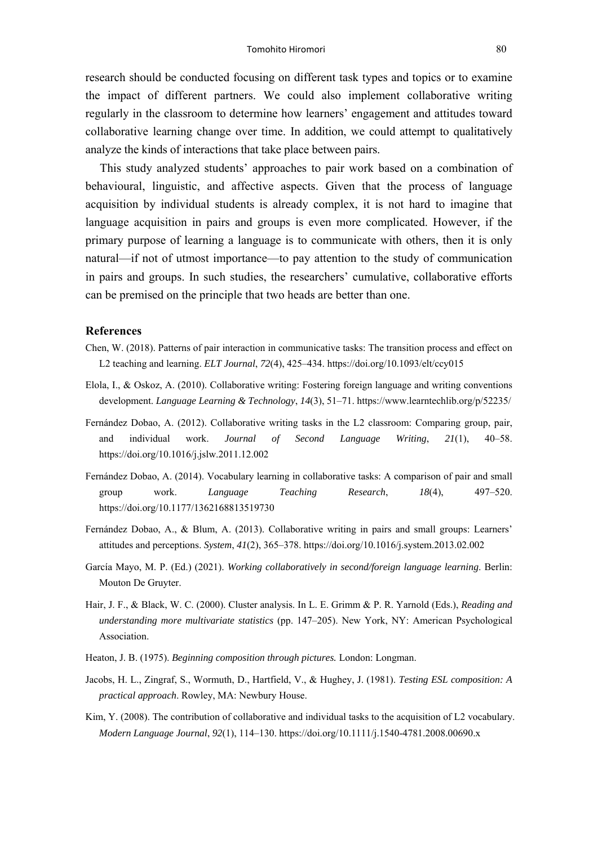research should be conducted focusing on different task types and topics or to examine the impact of different partners. We could also implement collaborative writing regularly in the classroom to determine how learners' engagement and attitudes toward collaborative learning change over time. In addition, we could attempt to qualitatively analyze the kinds of interactions that take place between pairs.

This study analyzed students' approaches to pair work based on a combination of behavioural, linguistic, and affective aspects. Given that the process of language acquisition by individual students is already complex, it is not hard to imagine that language acquisition in pairs and groups is even more complicated. However, if the primary purpose of learning a language is to communicate with others, then it is only natural—if not of utmost importance—to pay attention to the study of communication in pairs and groups. In such studies, the researchers' cumulative, collaborative efforts can be premised on the principle that two heads are better than one.

#### **References**

- Chen, W. (2018). Patterns of pair interaction in communicative tasks: The transition process and effect on L2 teaching and learning. *ELT Journal*, *72*(4), 425–434. https://doi.org/10.1093/elt/ccy015
- Elola, I., & Oskoz, A. (2010). Collaborative writing: Fostering foreign language and writing conventions development. *Language Learning & Technology*, *14*(3), 51–71. https://www.learntechlib.org/p/52235/
- Fernández Dobao, A. (2012). Collaborative writing tasks in the L2 classroom: Comparing group, pair, and individual work. *Journal of Second Language Writing*, *21*(1), 40–58. https://doi.org/10.1016/j.jslw.2011.12.002
- Fernández Dobao, A. (2014). Vocabulary learning in collaborative tasks: A comparison of pair and small group work. *Language Teaching Research*, *18*(4), 497–520. https://doi.org/10.1177/1362168813519730
- Fernández Dobao, A., & Blum, A. (2013). Collaborative writing in pairs and small groups: Learners' attitudes and perceptions. *System*, *41*(2), 365–378. https://doi.org/10.1016/j.system.2013.02.002
- García Mayo, M. P. (Ed.) (2021). *Working collaboratively in second/foreign language learning*. Berlin: Mouton De Gruyter.
- Hair, J. F., & Black, W. C. (2000). Cluster analysis. In L. E. Grimm & P. R. Yarnold (Eds.), *Reading and understanding more multivariate statistics* (pp. 147–205). New York, NY: American Psychological Association.
- Heaton, J. B. (1975). *Beginning composition through pictures.* London: Longman.
- Jacobs, H. L., Zingraf, S., Wormuth, D., Hartfield, V., & Hughey, J. (1981). *Testing ESL composition: A practical approach*. Rowley, MA: Newbury House.
- Kim, Y. (2008). The contribution of collaborative and individual tasks to the acquisition of L2 vocabulary. *Modern Language Journal*, *92*(1), 114–130. https://doi.org/10.1111/j.1540-4781.2008.00690.x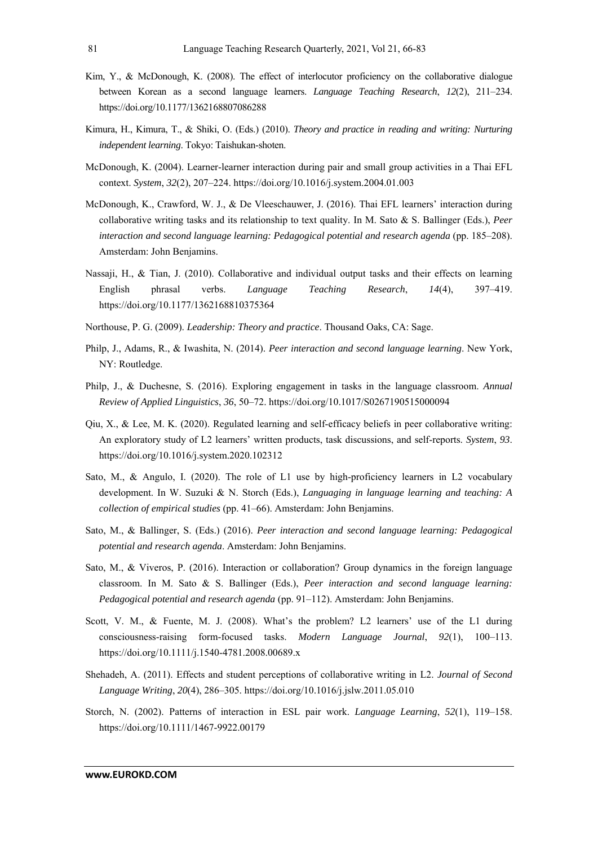- Kim, Y., & McDonough, K. (2008). The effect of interlocutor proficiency on the collaborative dialogue between Korean as a second language learners. *Language Teaching Research*, *12*(2), 211–234. https://doi.org/10.1177/1362168807086288
- Kimura, H., Kimura, T., & Shiki, O. (Eds.) (2010). *Theory and practice in reading and writing: Nurturing independent learning*. Tokyo: Taishukan-shoten.
- McDonough, K. (2004). Learner-learner interaction during pair and small group activities in a Thai EFL context. *System*, *32*(2), 207–224. https://doi.org/10.1016/j.system.2004.01.003
- McDonough, K., Crawford, W. J., & De Vleeschauwer, J. (2016). Thai EFL learners' interaction during collaborative writing tasks and its relationship to text quality. In M. Sato & S. Ballinger (Eds.), *Peer interaction and second language learning: Pedagogical potential and research agenda* (pp. 185–208). Amsterdam: John Benjamins.
- Nassaji, H., & Tian, J. (2010). Collaborative and individual output tasks and their effects on learning English phrasal verbs. *Language Teaching Research*, *14*(4), 397–419. https://doi.org/10.1177/1362168810375364
- Northouse, P. G. (2009). *Leadership: Theory and practice*. Thousand Oaks, CA: Sage.
- Philp, J., Adams, R., & Iwashita, N. (2014). *Peer interaction and second language learning*. New York, NY: Routledge.
- Philp, J., & Duchesne, S. (2016). Exploring engagement in tasks in the language classroom. *Annual Review of Applied Linguistics*, *36*, 50–72. https://doi.org/10.1017/S0267190515000094
- Qiu, X., & Lee, M. K. (2020). Regulated learning and self-efficacy beliefs in peer collaborative writing: An exploratory study of L2 learners' written products, task discussions, and self-reports. *System*, *93*. https://doi.org/10.1016/j.system.2020.102312
- Sato, M., & Angulo, I. (2020). The role of L1 use by high-proficiency learners in L2 vocabulary development. In W. Suzuki & N. Storch (Eds.), *Languaging in language learning and teaching: A collection of empirical studies* (pp. 41–66). Amsterdam: John Benjamins.
- Sato, M., & Ballinger, S. (Eds.) (2016). *Peer interaction and second language learning: Pedagogical potential and research agenda*. Amsterdam: John Benjamins.
- Sato, M., & Viveros, P. (2016). Interaction or collaboration? Group dynamics in the foreign language classroom. In M. Sato & S. Ballinger (Eds.), *Peer interaction and second language learning: Pedagogical potential and research agenda* (pp. 91–112). Amsterdam: John Benjamins.
- Scott, V. M., & Fuente, M. J. (2008). What's the problem? L2 learners' use of the L1 during consciousness-raising form-focused tasks. *Modern Language Journal*, *92*(1), 100–113. https://doi.org/10.1111/j.1540-4781.2008.00689.x
- Shehadeh, A. (2011). Effects and student perceptions of collaborative writing in L2. *Journal of Second Language Writing*, *20*(4), 286–305. https://doi.org/10.1016/j.jslw.2011.05.010
- Storch, N. (2002). Patterns of interaction in ESL pair work. *Language Learning*, *52*(1), 119–158. https://doi.org/10.1111/1467-9922.00179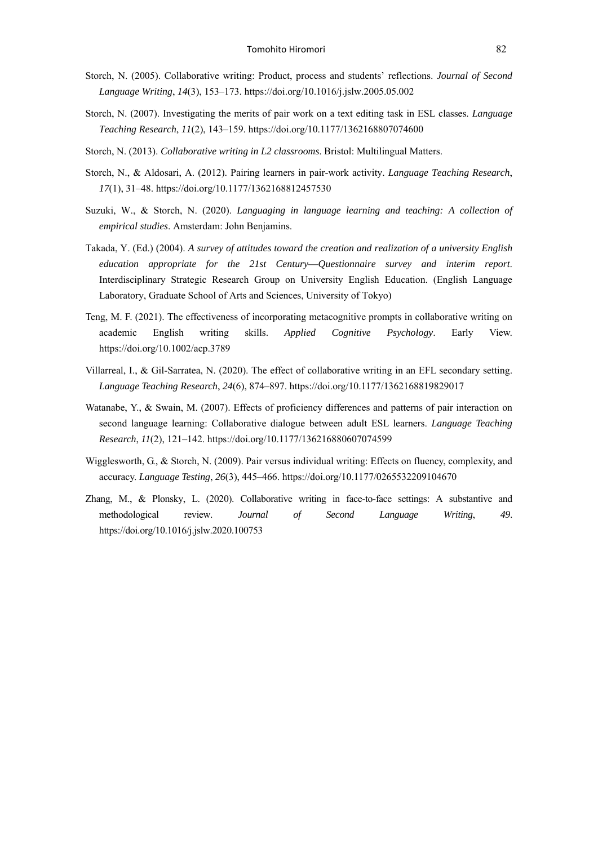- Storch, N. (2005). Collaborative writing: Product, process and students' reflections. *Journal of Second Language Writing*, *14*(3), 153–173. https://doi.org/10.1016/j.jslw.2005.05.002
- Storch, N. (2007). Investigating the merits of pair work on a text editing task in ESL classes. *Language Teaching Research*, *11*(2), 143–159. https://doi.org/10.1177/1362168807074600
- Storch, N. (2013). *Collaborative writing in L2 classrooms*. Bristol: Multilingual Matters.
- Storch, N., & Aldosari, A. (2012). Pairing learners in pair-work activity. *Language Teaching Research*, *17*(1), 31–48. https://doi.org/10.1177/1362168812457530
- Suzuki, W., & Storch, N. (2020). *Languaging in language learning and teaching: A collection of empirical studies*. Amsterdam: John Benjamins.
- Takada, Y. (Ed.) (2004). *A survey of attitudes toward the creation and realization of a university English education appropriate for the 21st Century––Questionnaire survey and interim report*. Interdisciplinary Strategic Research Group on University English Education. (English Language Laboratory, Graduate School of Arts and Sciences, University of Tokyo)
- Teng, M. F. (2021). The effectiveness of incorporating metacognitive prompts in collaborative writing on academic English writing skills. *Applied Cognitive Psychology*. Early View. https://doi.org/10.1002/acp.3789
- Villarreal, I., & Gil-Sarratea, N. (2020). The effect of collaborative writing in an EFL secondary setting. *Language Teaching Research*, *24*(6), 874–897. https://doi.org/10.1177/1362168819829017
- Watanabe, Y., & Swain, M. (2007). Effects of proficiency differences and patterns of pair interaction on second language learning: Collaborative dialogue between adult ESL learners. *Language Teaching Research*, *11*(2), 121–142. https://doi.org/10.1177/136216880607074599
- Wigglesworth, G., & Storch, N. (2009). Pair versus individual writing: Effects on fluency, complexity, and accuracy. *Language Testing*, *26*(3), 445–466. https://doi.org/10.1177/0265532209104670
- Zhang, M., & Plonsky, L. (2020). Collaborative writing in face-to-face settings: A substantive and methodological review. *Journal of Second Language Writing*, *49*. https://doi.org/10.1016/j.jslw.2020.100753